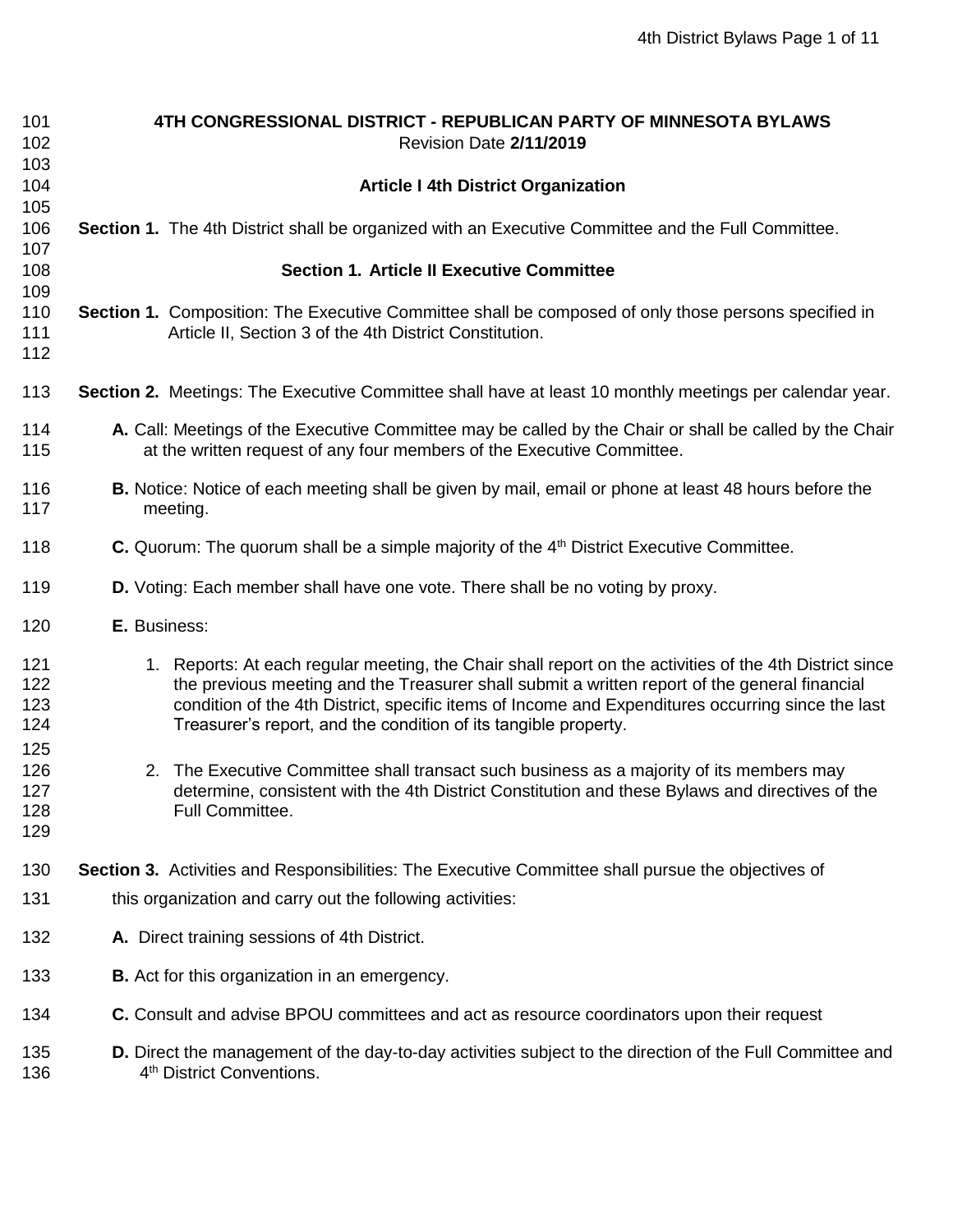| 101        | 4TH CONGRESSIONAL DISTRICT - REPUBLICAN PARTY OF MINNESOTA BYLAWS                                                                                                                 |
|------------|-----------------------------------------------------------------------------------------------------------------------------------------------------------------------------------|
| 102        | Revision Date 2/11/2019                                                                                                                                                           |
| 103        |                                                                                                                                                                                   |
| 104        | <b>Article I 4th District Organization</b>                                                                                                                                        |
| 105        |                                                                                                                                                                                   |
| 106<br>107 | Section 1. The 4th District shall be organized with an Executive Committee and the Full Committee.                                                                                |
| 108        | <b>Section 1. Article II Executive Committee</b>                                                                                                                                  |
| 109        |                                                                                                                                                                                   |
| 110        | Section 1. Composition: The Executive Committee shall be composed of only those persons specified in                                                                              |
| 111        | Article II, Section 3 of the 4th District Constitution.                                                                                                                           |
| 112        |                                                                                                                                                                                   |
| 113        | Section 2. Meetings: The Executive Committee shall have at least 10 monthly meetings per calendar year.                                                                           |
|            |                                                                                                                                                                                   |
| 114<br>115 | A. Call: Meetings of the Executive Committee may be called by the Chair or shall be called by the Chair<br>at the written request of any four members of the Executive Committee. |
| 116<br>117 | <b>B.</b> Notice: Notice of each meeting shall be given by mail, email or phone at least 48 hours before the<br>meeting.                                                          |
| 118        | C. Quorum: The quorum shall be a simple majority of the 4 <sup>th</sup> District Executive Committee.                                                                             |
| 119        | D. Voting: Each member shall have one vote. There shall be no voting by proxy.                                                                                                    |
| 120        | E. Business:                                                                                                                                                                      |
| 121        | 1. Reports: At each regular meeting, the Chair shall report on the activities of the 4th District since                                                                           |
| 122        | the previous meeting and the Treasurer shall submit a written report of the general financial                                                                                     |
| 123        | condition of the 4th District, specific items of Income and Expenditures occurring since the last                                                                                 |
| 124        | Treasurer's report, and the condition of its tangible property.                                                                                                                   |
| 125        |                                                                                                                                                                                   |
| 126        | 2. The Executive Committee shall transact such business as a majority of its members may                                                                                          |
| 127        | determine, consistent with the 4th District Constitution and these Bylaws and directives of the                                                                                   |
| 128        | Full Committee.                                                                                                                                                                   |
| 129        |                                                                                                                                                                                   |
| 130        | Section 3. Activities and Responsibilities: The Executive Committee shall pursue the objectives of                                                                                |
| 131        | this organization and carry out the following activities:                                                                                                                         |
| 132        | A. Direct training sessions of 4th District.                                                                                                                                      |
| 133        | <b>B.</b> Act for this organization in an emergency.                                                                                                                              |
| 134        | C. Consult and advise BPOU committees and act as resource coordinators upon their request                                                                                         |
| 135<br>136 | D. Direct the management of the day-to-day activities subject to the direction of the Full Committee and<br>4 <sup>th</sup> District Conventions.                                 |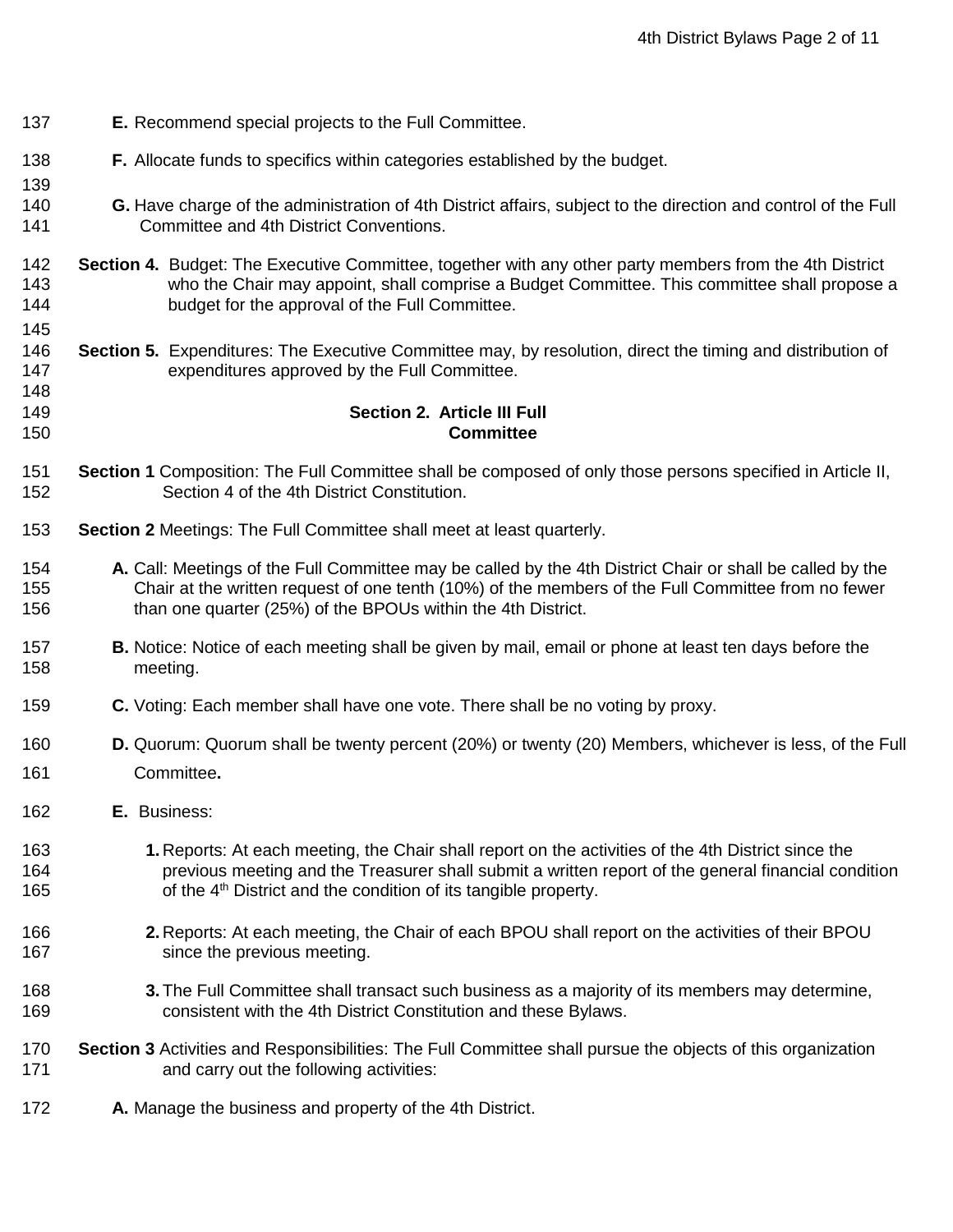- **E.** Recommend special projects to the Full Committee.
- **F.** Allocate funds to specifics within categories established by the budget.
- **G.** Have charge of the administration of 4th District affairs, subject to the direction and control of the Full Committee and 4th District Conventions.
- **Section 4.** Budget: The Executive Committee, together with any other party members from the 4th District who the Chair may appoint, shall comprise a Budget Committee. This committee shall propose a budget for the approval of the Full Committee.
- **Section 5.** Expenditures: The Executive Committee may, by resolution, direct the timing and distribution of expenditures approved by the Full Committee.

#### **Section 2. Article III Full Committee**

- **Section 1** Composition: The Full Committee shall be composed of only those persons specified in Article II, Section 4 of the 4th District Constitution.
- **Section 2** Meetings: The Full Committee shall meet at least quarterly.
- **A.** Call: Meetings of the Full Committee may be called by the 4th District Chair or shall be called by the Chair at the written request of one tenth (10%) of the members of the Full Committee from no fewer than one quarter (25%) of the BPOUs within the 4th District.
- **B.** Notice: Notice of each meeting shall be given by mail, email or phone at least ten days before the meeting.
- **C.** Voting: Each member shall have one vote. There shall be no voting by proxy.
- **D.** Quorum: Quorum shall be twenty percent (20%) or twenty (20) Members, whichever is less, of the Full Committee**.**
- **E.** Business:
- **1.** Reports: At each meeting, the Chair shall report on the activities of the 4th District since the previous meeting and the Treasurer shall submit a written report of the general financial condition 165 of the 4<sup>th</sup> District and the condition of its tangible property.
- **2.** Reports: At each meeting, the Chair of each BPOU shall report on the activities of their BPOU 167 since the previous meeting.
- **3.**The Full Committee shall transact such business as a majority of its members may determine, consistent with the 4th District Constitution and these Bylaws.
- **Section 3** Activities and Responsibilities: The Full Committee shall pursue the objects of this organization **and carry out the following activities:**
- **A.** Manage the business and property of the 4th District.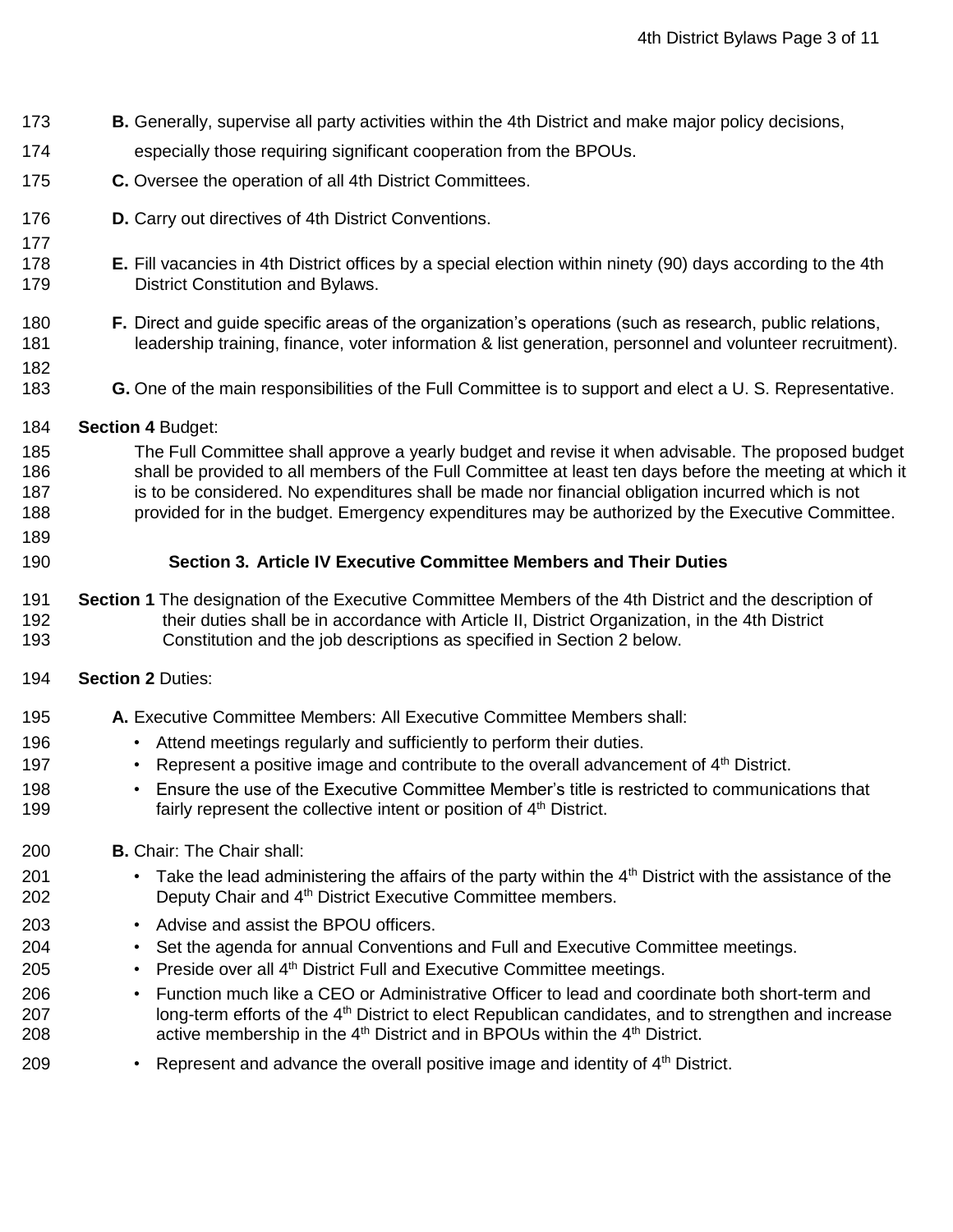- **B.** Generally, supervise all party activities within the 4th District and make major policy decisions,
- especially those requiring significant cooperation from the BPOUs.
- **C.** Oversee the operation of all 4th District Committees.
- **D.** Carry out directives of 4th District Conventions.
- **E.** Fill vacancies in 4th District offices by a special election within ninety (90) days according to the 4th District Constitution and Bylaws.
- **F.** Direct and guide specific areas of the organization's operations (such as research, public relations, leadership training, finance, voter information & list generation, personnel and volunteer recruitment).
- - **G.** One of the main responsibilities of the Full Committee is to support and elect a U. S. Representative.
	- **Section 4** Budget:
	- The Full Committee shall approve a yearly budget and revise it when advisable. The proposed budget shall be provided to all members of the Full Committee at least ten days before the meeting at which it 187 is to be considered. No expenditures shall be made nor financial obligation incurred which is not provided for in the budget. Emergency expenditures may be authorized by the Executive Committee.
	-

#### **Section 3. Article IV Executive Committee Members and Their Duties**

- **Section 1** The designation of the Executive Committee Members of the 4th District and the description of their duties shall be in accordance with Article II, District Organization, in the 4th District Constitution and the job descriptions as specified in Section 2 below.
- **Section 2** Duties:
- **A.** Executive Committee Members: All Executive Committee Members shall:
- Attend meetings regularly and sufficiently to perform their duties.
- **197** Represent a positive image and contribute to the overall advancement of 4<sup>th</sup> District.
- Ensure the use of the Executive Committee Member's title is restricted to communications that 199 **fairly represent the collective intent or position of**  $4<sup>th</sup>$  **District.**
- **B.** Chair: The Chair shall:
- 201 Take the lead administering the affairs of the party within the  $4<sup>th</sup>$  District with the assistance of the 202 Deputy Chair and 4<sup>th</sup> District Executive Committee members.
- Advise and assist the BPOU officers.
- 204 Set the agenda for annual Conventions and Full and Executive Committee meetings.
- 205 Preside over all  $4<sup>th</sup>$  District Full and Executive Committee meetings.
- Function much like a CEO or Administrative Officer to lead and coordinate both short-term and 207 long-term efforts of the 4<sup>th</sup> District to elect Republican candidates, and to strengthen and increase 208 active membership in the  $4<sup>th</sup>$  District and in BPOUs within the  $4<sup>th</sup>$  District.
- 209 Represent and advance the overall positive image and identity of  $4<sup>th</sup>$  District.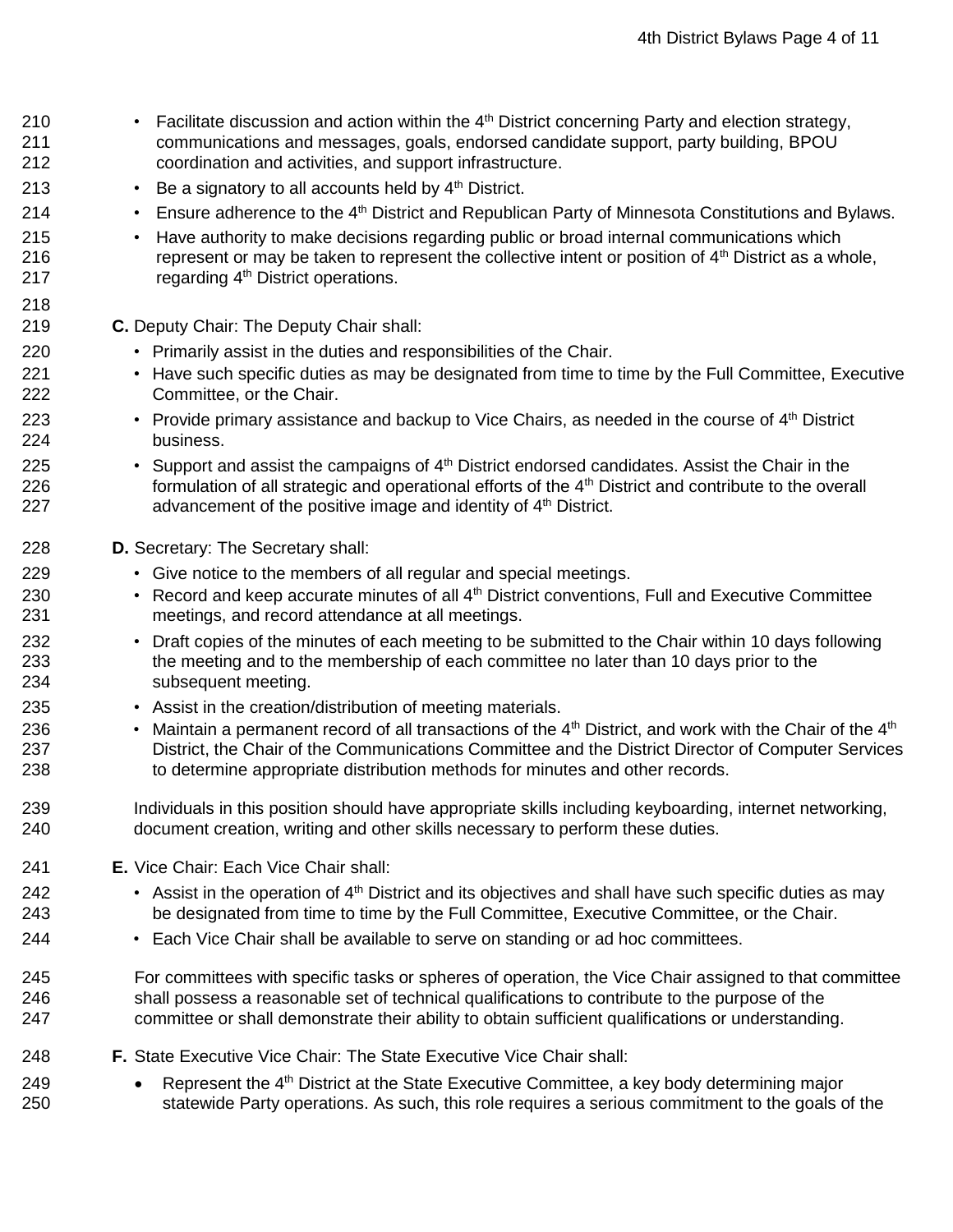<sup>210</sup> • Facilitate discussion and action within the 4<sup>th</sup> District concerning Party and election strategy, communications and messages, goals, endorsed candidate support, party building, BPOU coordination and activities, and support infrastructure. 213 • Be a signatory to all accounts held by  $4<sup>th</sup>$  District. <sup>214</sup> • Ensure adherence to the 4<sup>th</sup> District and Republican Party of Minnesota Constitutions and Bylaws. • Have authority to make decisions regarding public or broad internal communications which **Example 216** represent or may be taken to represent the collective intent or position of  $4<sup>th</sup>$  District as a whole, 217 regarding 4<sup>th</sup> District operations. **C.** Deputy Chair: The Deputy Chair shall: • Primarily assist in the duties and responsibilities of the Chair. • Have such specific duties as may be designated from time to time by the Full Committee, Executive Committee, or the Chair. 223 • Provide primary assistance and backup to Vice Chairs, as needed in the course of  $4<sup>th</sup>$  District business. 225 • Support and assist the campaigns of  $4<sup>th</sup>$  District endorsed candidates. Assist the Chair in the 226 formulation of all strategic and operational efforts of the 4<sup>th</sup> District and contribute to the overall **advancement of the positive image and identity of**  $4<sup>th</sup>$  **District. D.** Secretary: The Secretary shall: • Give notice to the members of all regular and special meetings. <sup>230</sup> • Record and keep accurate minutes of all 4<sup>th</sup> District conventions, Full and Executive Committee meetings, and record attendance at all meetings. • Draft copies of the minutes of each meeting to be submitted to the Chair within 10 days following the meeting and to the membership of each committee no later than 10 days prior to the subsequent meeting. • Assist in the creation/distribution of meeting materials. <sup>236</sup> • Maintain a permanent record of all transactions of the 4<sup>th</sup> District, and work with the Chair of the 4<sup>th</sup> District, the Chair of the Communications Committee and the District Director of Computer Services to determine appropriate distribution methods for minutes and other records. Individuals in this position should have appropriate skills including keyboarding, internet networking, document creation, writing and other skills necessary to perform these duties. **E.** Vice Chair: Each Vice Chair shall: 242 • Assist in the operation of  $4<sup>th</sup>$  District and its objectives and shall have such specific duties as may be designated from time to time by the Full Committee, Executive Committee, or the Chair. • Each Vice Chair shall be available to serve on standing or ad hoc committees. For committees with specific tasks or spheres of operation, the Vice Chair assigned to that committee shall possess a reasonable set of technical qualifications to contribute to the purpose of the committee or shall demonstrate their ability to obtain sufficient qualifications or understanding. **F.** State Executive Vice Chair: The State Executive Vice Chair shall: 249 • Represent the  $4<sup>th</sup>$  District at the State Executive Committee, a key body determining major statewide Party operations. As such, this role requires a serious commitment to the goals of the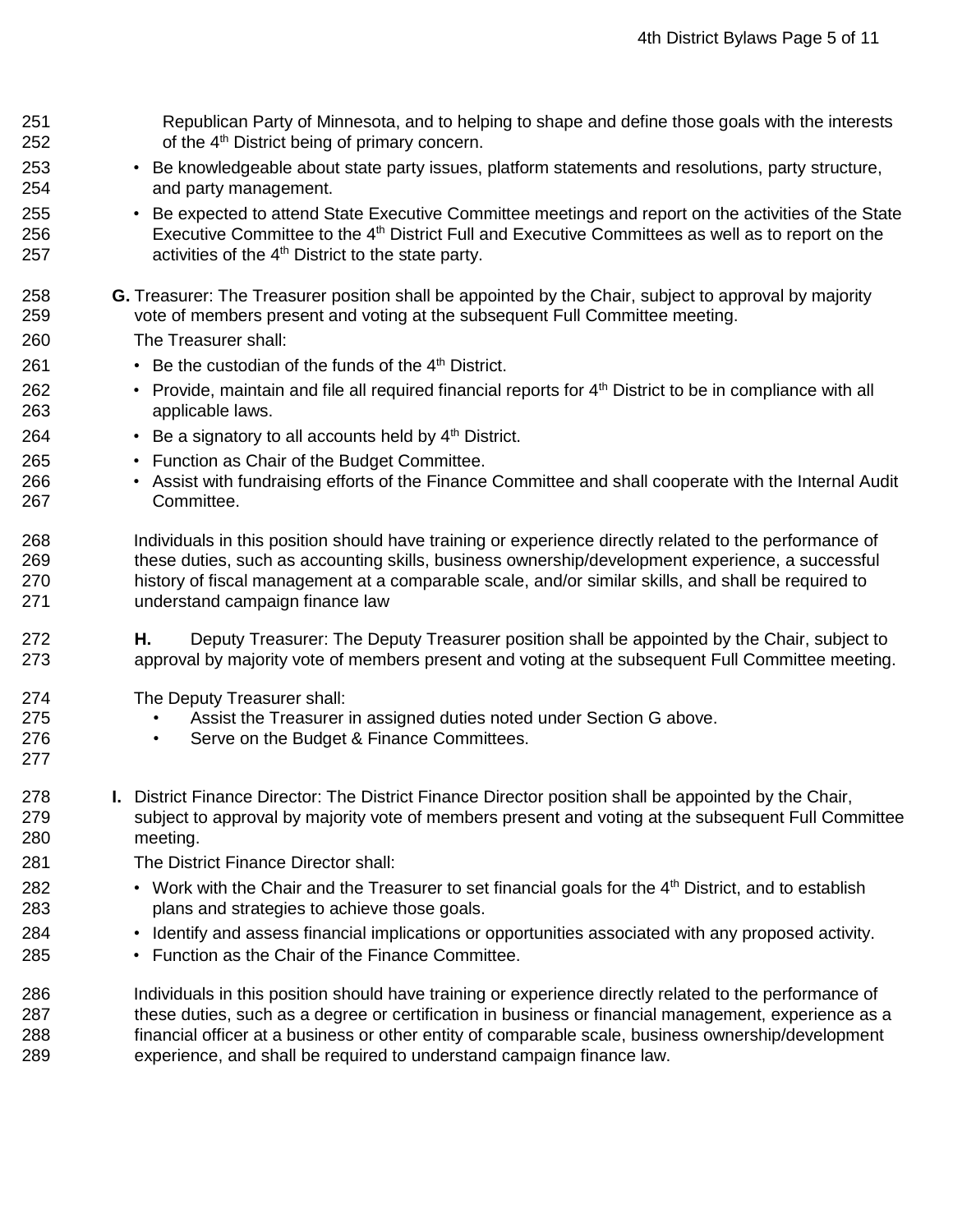Republican Party of Minnesota, and to helping to shape and define those goals with the interests of the  $4<sup>th</sup>$  District being of primary concern. • Be knowledgeable about state party issues, platform statements and resolutions, party structure, and party management. • Be expected to attend State Executive Committee meetings and report on the activities of the State 256 Executive Committee to the 4<sup>th</sup> District Full and Executive Committees as well as to report on the  $\blacksquare$  activities of the 4<sup>th</sup> District to the state party. **G.** Treasurer: The Treasurer position shall be appointed by the Chair, subject to approval by majority vote of members present and voting at the subsequent Full Committee meeting. The Treasurer shall: 261 • Be the custodian of the funds of the  $4<sup>th</sup>$  District. <sup>262</sup> • Provide, maintain and file all required financial reports for 4<sup>th</sup> District to be in compliance with all applicable laws. 264 • Be a signatory to all accounts held by  $4<sup>th</sup>$  District. • Function as Chair of the Budget Committee. • Assist with fundraising efforts of the Finance Committee and shall cooperate with the Internal Audit Committee. Individuals in this position should have training or experience directly related to the performance of these duties, such as accounting skills, business ownership/development experience, a successful history of fiscal management at a comparable scale, and/or similar skills, and shall be required to understand campaign finance law **H.** Deputy Treasurer: The Deputy Treasurer position shall be appointed by the Chair, subject to approval by majority vote of members present and voting at the subsequent Full Committee meeting. The Deputy Treasurer shall: • Assist the Treasurer in assigned duties noted under Section G above. • Serve on the Budget & Finance Committees. **I.** District Finance Director: The District Finance Director position shall be appointed by the Chair, subject to approval by majority vote of members present and voting at the subsequent Full Committee meeting. The District Finance Director shall: 282 • Work with the Chair and the Treasurer to set financial goals for the  $4<sup>th</sup>$  District, and to establish plans and strategies to achieve those goals. • Identify and assess financial implications or opportunities associated with any proposed activity. • Function as the Chair of the Finance Committee. Individuals in this position should have training or experience directly related to the performance of these duties, such as a degree or certification in business or financial management, experience as a financial officer at a business or other entity of comparable scale, business ownership/development experience, and shall be required to understand campaign finance law.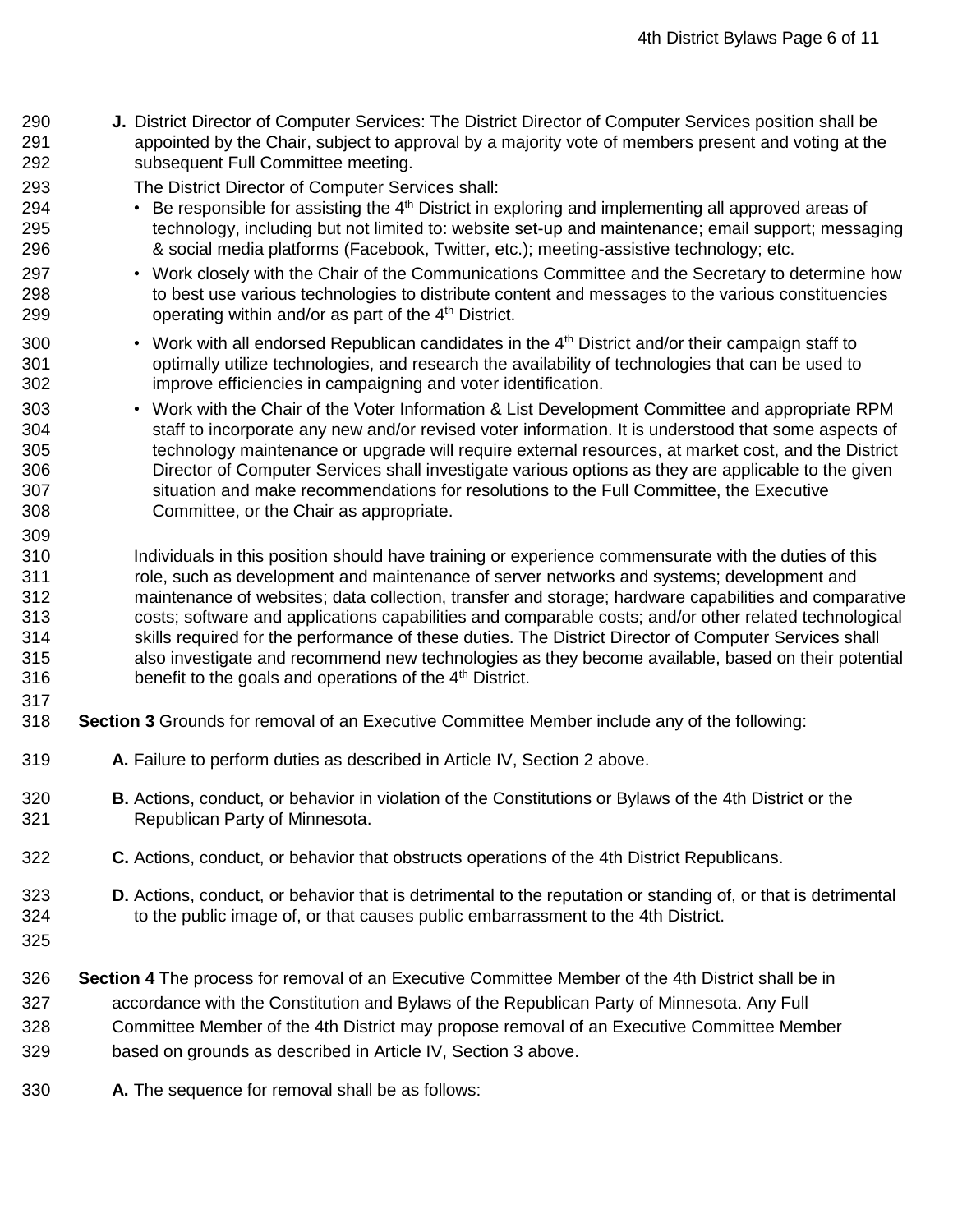**J.** District Director of Computer Services: The District Director of Computer Services position shall be appointed by the Chair, subject to approval by a majority vote of members present and voting at the subsequent Full Committee meeting.

The District Director of Computer Services shall:

- <sup>294</sup> Be responsible for assisting the 4<sup>th</sup> District in exploring and implementing all approved areas of technology, including but not limited to: website set-up and maintenance; email support; messaging & social media platforms (Facebook, Twitter, etc.); meeting-assistive technology; etc.
- 297 Work closely with the Chair of the Communications Committee and the Secretary to determine how to best use various technologies to distribute content and messages to the various constituencies 299 operating within and/or as part of the  $4<sup>th</sup>$  District.
- 300 Work with all endorsed Republican candidates in the  $4<sup>th</sup>$  District and/or their campaign staff to optimally utilize technologies, and research the availability of technologies that can be used to improve efficiencies in campaigning and voter identification.
- Work with the Chair of the Voter Information & List Development Committee and appropriate RPM staff to incorporate any new and/or revised voter information. It is understood that some aspects of technology maintenance or upgrade will require external resources, at market cost, and the District Director of Computer Services shall investigate various options as they are applicable to the given situation and make recommendations for resolutions to the Full Committee, the Executive Committee, or the Chair as appropriate.
- 310 Individuals in this position should have training or experience commensurate with the duties of this role, such as development and maintenance of server networks and systems; development and maintenance of websites; data collection, transfer and storage; hardware capabilities and comparative costs; software and applications capabilities and comparable costs; and/or other related technological skills required for the performance of these duties. The District Director of Computer Services shall also investigate and recommend new technologies as they become available, based on their potential 316 benefit to the goals and operations of the  $4<sup>th</sup>$  District.
- **Section 3** Grounds for removal of an Executive Committee Member include any of the following:
- **A.** Failure to perform duties as described in Article IV, Section 2 above.
- **B.** Actions, conduct, or behavior in violation of the Constitutions or Bylaws of the 4th District or the Republican Party of Minnesota.
- **C.** Actions, conduct, or behavior that obstructs operations of the 4th District Republicans.
- **D.** Actions, conduct, or behavior that is detrimental to the reputation or standing of, or that is detrimental to the public image of, or that causes public embarrassment to the 4th District.
- 

- **Section 4** The process for removal of an Executive Committee Member of the 4th District shall be in
- accordance with the Constitution and Bylaws of the Republican Party of Minnesota. Any Full
- Committee Member of the 4th District may propose removal of an Executive Committee Member
- based on grounds as described in Article IV, Section 3 above.
- **A.** The sequence for removal shall be as follows: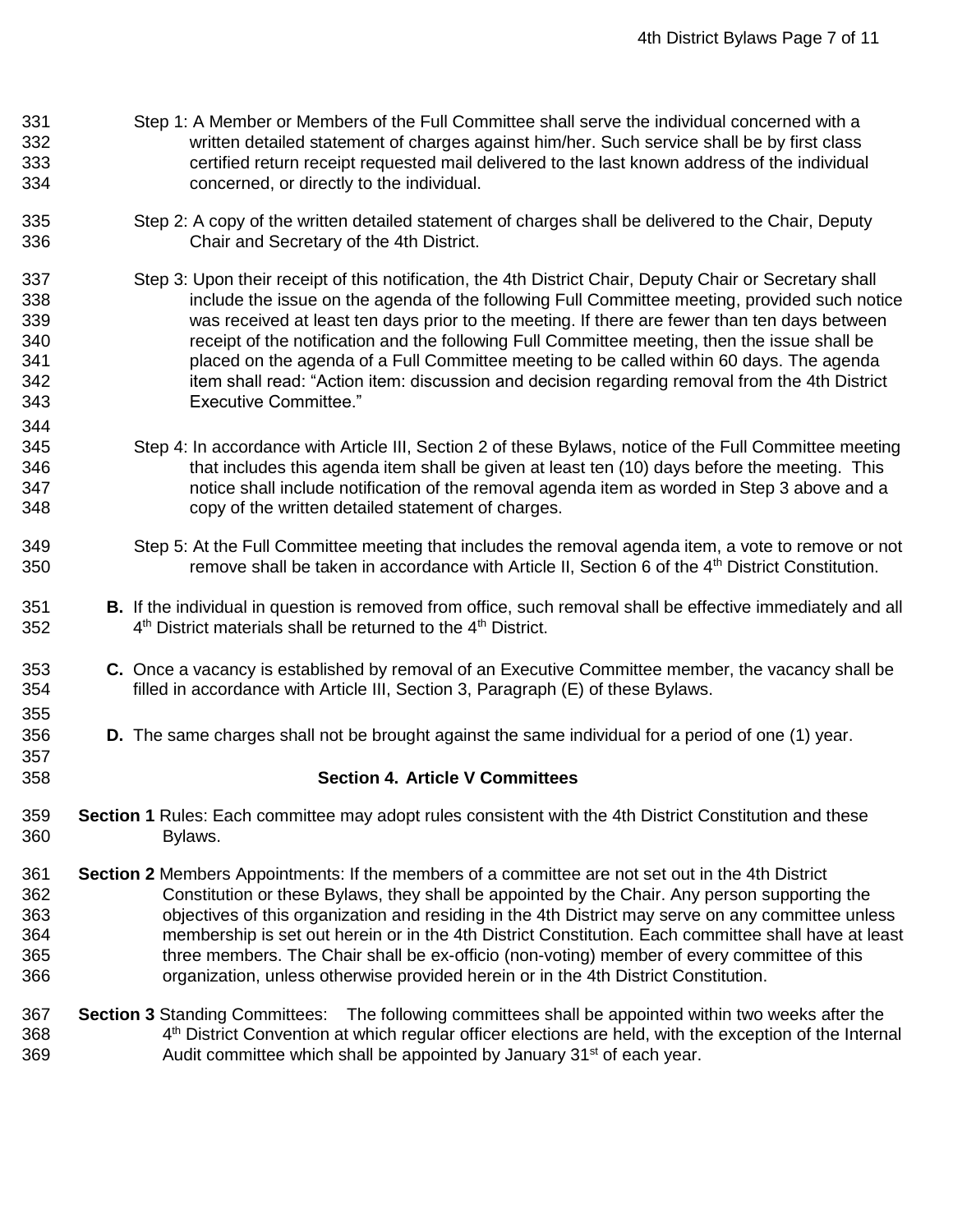- Step 1: A Member or Members of the Full Committee shall serve the individual concerned with a written detailed statement of charges against him/her. Such service shall be by first class certified return receipt requested mail delivered to the last known address of the individual concerned, or directly to the individual.
- Step 2: A copy of the written detailed statement of charges shall be delivered to the Chair, Deputy Chair and Secretary of the 4th District.
- Step 3: Upon their receipt of this notification, the 4th District Chair, Deputy Chair or Secretary shall include the issue on the agenda of the following Full Committee meeting, provided such notice was received at least ten days prior to the meeting. If there are fewer than ten days between receipt of the notification and the following Full Committee meeting, then the issue shall be placed on the agenda of a Full Committee meeting to be called within 60 days. The agenda item shall read: "Action item: discussion and decision regarding removal from the 4th District Executive Committee."
- Step 4: In accordance with Article III, Section 2 of these Bylaws, notice of the Full Committee meeting that includes this agenda item shall be given at least ten (10) days before the meeting. This notice shall include notification of the removal agenda item as worded in Step 3 above and a copy of the written detailed statement of charges.

- Step 5: At the Full Committee meeting that includes the removal agenda item, a vote to remove or not 350 **Example 20** remove shall be taken in accordance with Article II, Section 6 of the  $4<sup>th</sup>$  District Constitution.
- **B.** If the individual in question is removed from office, such removal shall be effective immediately and all 352  $4<sup>th</sup>$  District materials shall be returned to the  $4<sup>th</sup>$  District.
- **C.** Once a vacancy is established by removal of an Executive Committee member, the vacancy shall be filled in accordance with Article III, Section 3, Paragraph (E) of these Bylaws.
- **D.** The same charges shall not be brought against the same individual for a period of one (1) year.
- **Section 4. Article V Committees**
- **Section 1** Rules: Each committee may adopt rules consistent with the 4th District Constitution and these Bylaws.
- **Section 2** Members Appointments: If the members of a committee are not set out in the 4th District Constitution or these Bylaws, they shall be appointed by the Chair. Any person supporting the objectives of this organization and residing in the 4th District may serve on any committee unless membership is set out herein or in the 4th District Constitution. Each committee shall have at least three members. The Chair shall be ex-officio (non-voting) member of every committee of this organization, unless otherwise provided herein or in the 4th District Constitution.
- **Section 3** Standing Committees: The following committees shall be appointed within two weeks after the 368 4<sup>th</sup> District Convention at which regular officer elections are held, with the exception of the Internal Audit committee which shall be appointed by January  $31<sup>st</sup>$  of each year.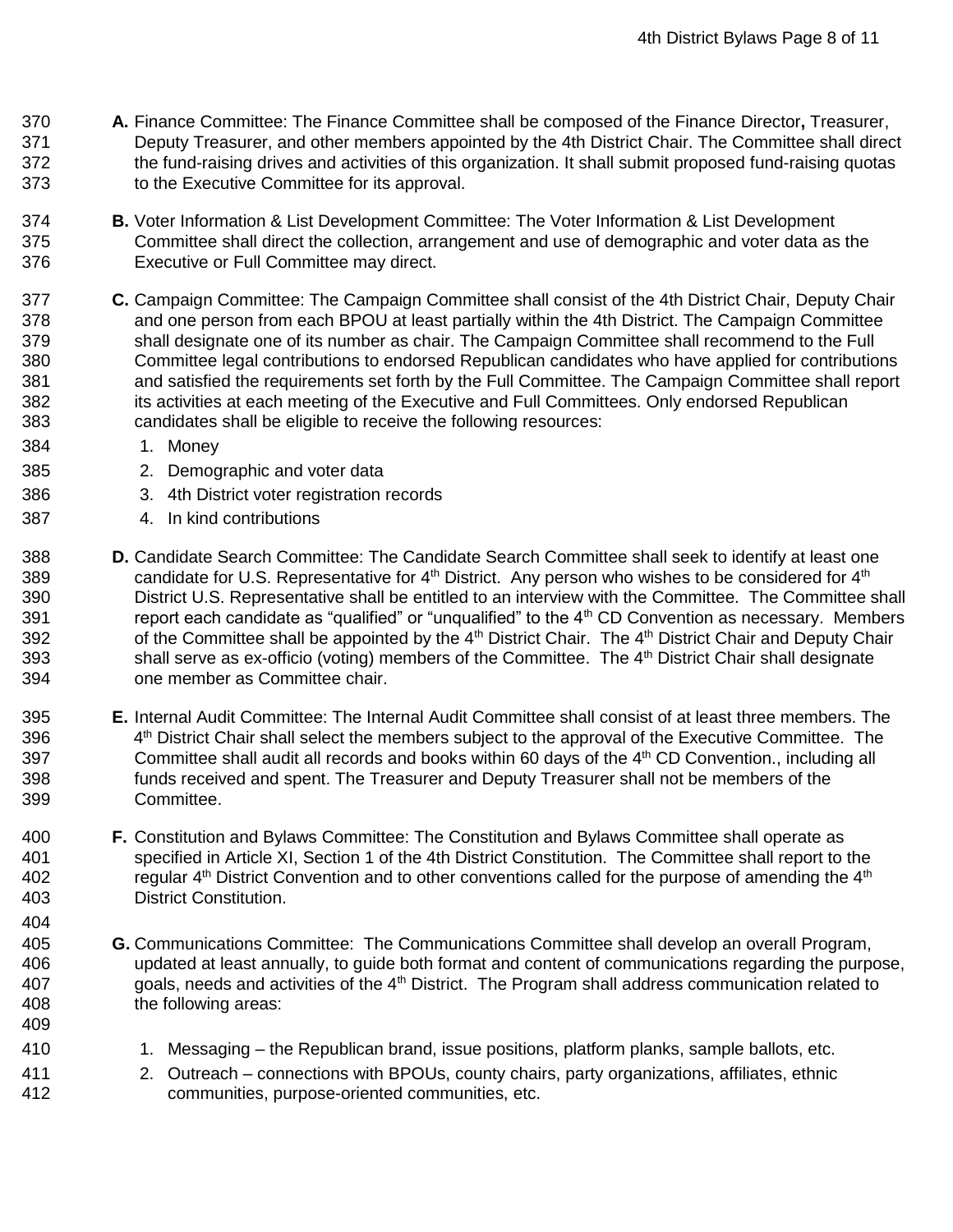- **A.** Finance Committee: The Finance Committee shall be composed of the Finance Director**,** Treasurer, Deputy Treasurer, and other members appointed by the 4th District Chair. The Committee shall direct 372 the fund-raising drives and activities of this organization. It shall submit proposed fund-raising quotas to the Executive Committee for its approval.
- **B.** Voter Information & List Development Committee: The Voter Information & List Development Committee shall direct the collection, arrangement and use of demographic and voter data as the Executive or Full Committee may direct.
- **C.** Campaign Committee: The Campaign Committee shall consist of the 4th District Chair, Deputy Chair and one person from each BPOU at least partially within the 4th District. The Campaign Committee shall designate one of its number as chair. The Campaign Committee shall recommend to the Full Committee legal contributions to endorsed Republican candidates who have applied for contributions and satisfied the requirements set forth by the Full Committee. The Campaign Committee shall report 382 its activities at each meeting of the Executive and Full Committees. Only endorsed Republican candidates shall be eligible to receive the following resources:
- 1. Money

- 2. Demographic and voter data
- 3. 4th District voter registration records
- 4. In kind contributions
- **D.** Candidate Search Committee: The Candidate Search Committee shall seek to identify at least one 389 candidate for U.S. Representative for  $4<sup>th</sup>$  District. Any person who wishes to be considered for  $4<sup>th</sup>$  District U.S. Representative shall be entitled to an interview with the Committee. The Committee shall 391 report each candidate as "qualified" or "unqualified" to the 4<sup>th</sup> CD Convention as necessary. Members 392 of the Committee shall be appointed by the 4<sup>th</sup> District Chair. The 4<sup>th</sup> District Chair and Deputy Chair 393 Shall serve as ex-officio (voting) members of the Committee. The 4<sup>th</sup> District Chair shall designate one member as Committee chair.
- **E.** Internal Audit Committee: The Internal Audit Committee shall consist of at least three members. The 396 4<sup>th</sup> District Chair shall select the members subject to the approval of the Executive Committee. The 397 Committee shall audit all records and books within 60 days of the 4<sup>th</sup> CD Convention., including all funds received and spent. The Treasurer and Deputy Treasurer shall not be members of the Committee.
- **F.** Constitution and Bylaws Committee: The Constitution and Bylaws Committee shall operate as specified in Article XI, Section 1 of the 4th District Constitution. The Committee shall report to the 402 **regular 4<sup>th</sup> District Convention and to other conventions called for the purpose of amending the 4<sup>th</sup> 4<sup>th</sup>** District Constitution.
- **G.** Communications Committee: The Communications Committee shall develop an overall Program, updated at least annually, to guide both format and content of communications regarding the purpose, 407 goals, needs and activities of the 4<sup>th</sup> District. The Program shall address communication related to the following areas:
- 410 1. Messaging the Republican brand, issue positions, platform planks, sample ballots, etc.
- 2. Outreach connections with BPOUs, county chairs, party organizations, affiliates, ethnic communities, purpose-oriented communities, etc.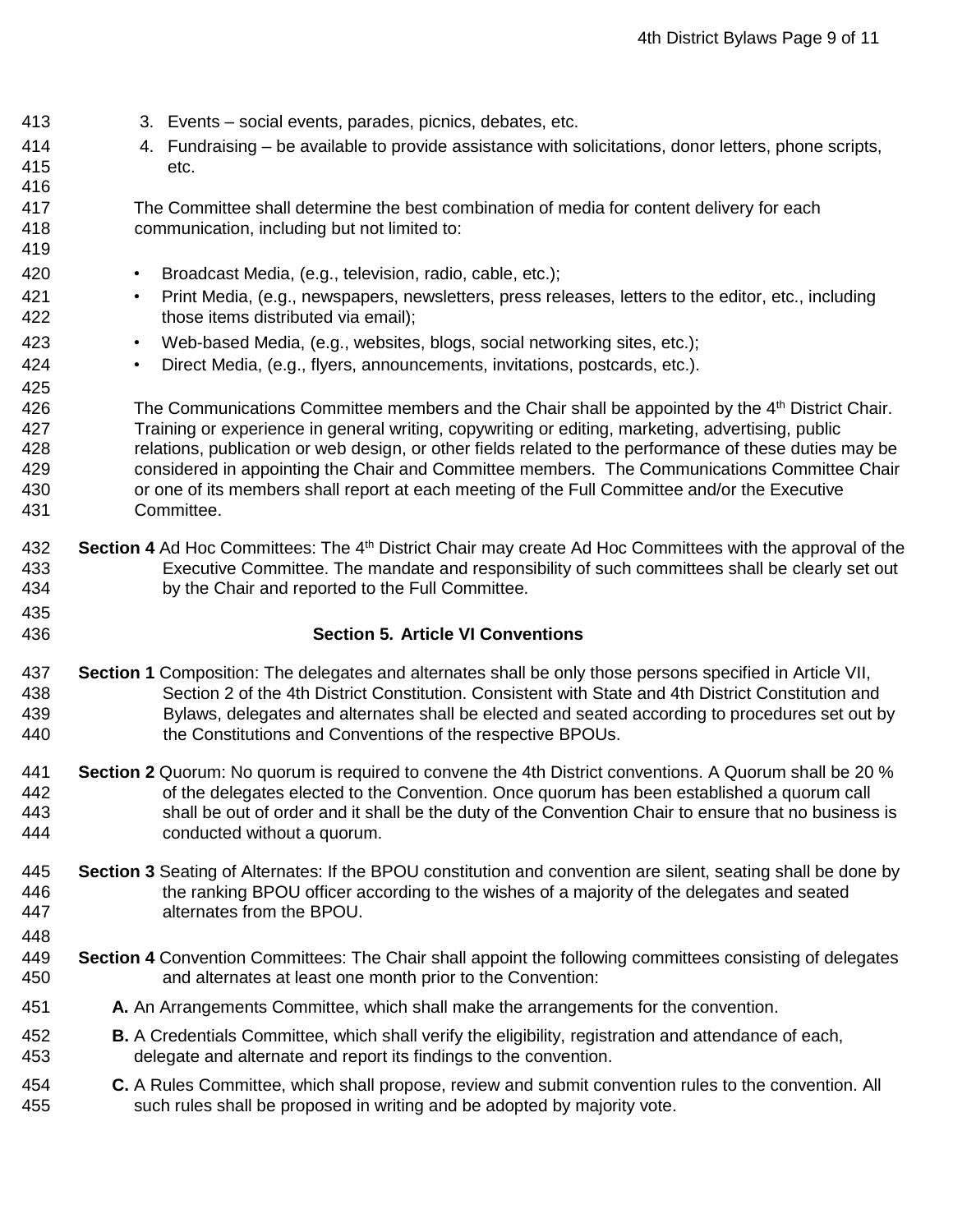- 3. Events social events, parades, picnics, debates, etc.
- 4. Fundraising be available to provide assistance with solicitations, donor letters, phone scripts, etc.

 The Committee shall determine the best combination of media for content delivery for each communication, including but not limited to: 

- Broadcast Media, (e.g., television, radio, cable, etc.);
- Print Media, (e.g., newspapers, newsletters, press releases, letters to the editor, etc., including those items distributed via email);
- Web-based Media, (e.g., websites, blogs, social networking sites, etc.);
- Direct Media, (e.g., flyers, announcements, invitations, postcards, etc.).

426 The Communications Committee members and the Chair shall be appointed by the  $4<sup>th</sup>$  District Chair. Training or experience in general writing, copywriting or editing, marketing, advertising, public relations, publication or web design, or other fields related to the performance of these duties may be considered in appointing the Chair and Committee members. The Communications Committee Chair or one of its members shall report at each meeting of the Full Committee and/or the Executive Committee.

- 432 **Section 4** Ad Hoc Committees: The 4<sup>th</sup> District Chair may create Ad Hoc Committees with the approval of the Executive Committee. The mandate and responsibility of such committees shall be clearly set out by the Chair and reported to the Full Committee.
- 

### **Section 5. Article VI Conventions**

- **Section 1** Composition: The delegates and alternates shall be only those persons specified in Article VII, Section 2 of the 4th District Constitution. Consistent with State and 4th District Constitution and Bylaws, delegates and alternates shall be elected and seated according to procedures set out by the Constitutions and Conventions of the respective BPOUs.
- **Section 2** Quorum: No quorum is required to convene the 4th District conventions. A Quorum shall be 20 % of the delegates elected to the Convention. Once quorum has been established a quorum call shall be out of order and it shall be the duty of the Convention Chair to ensure that no business is conducted without a quorum.
- **Section 3** Seating of Alternates: If the BPOU constitution and convention are silent, seating shall be done by the ranking BPOU officer according to the wishes of a majority of the delegates and seated alternates from the BPOU.
- 
- **Section 4** Convention Committees: The Chair shall appoint the following committees consisting of delegates and alternates at least one month prior to the Convention:
- **A.** An Arrangements Committee, which shall make the arrangements for the convention.
- **B.** A Credentials Committee, which shall verify the eligibility, registration and attendance of each, delegate and alternate and report its findings to the convention.
- **C.** A Rules Committee, which shall propose, review and submit convention rules to the convention. All such rules shall be proposed in writing and be adopted by majority vote.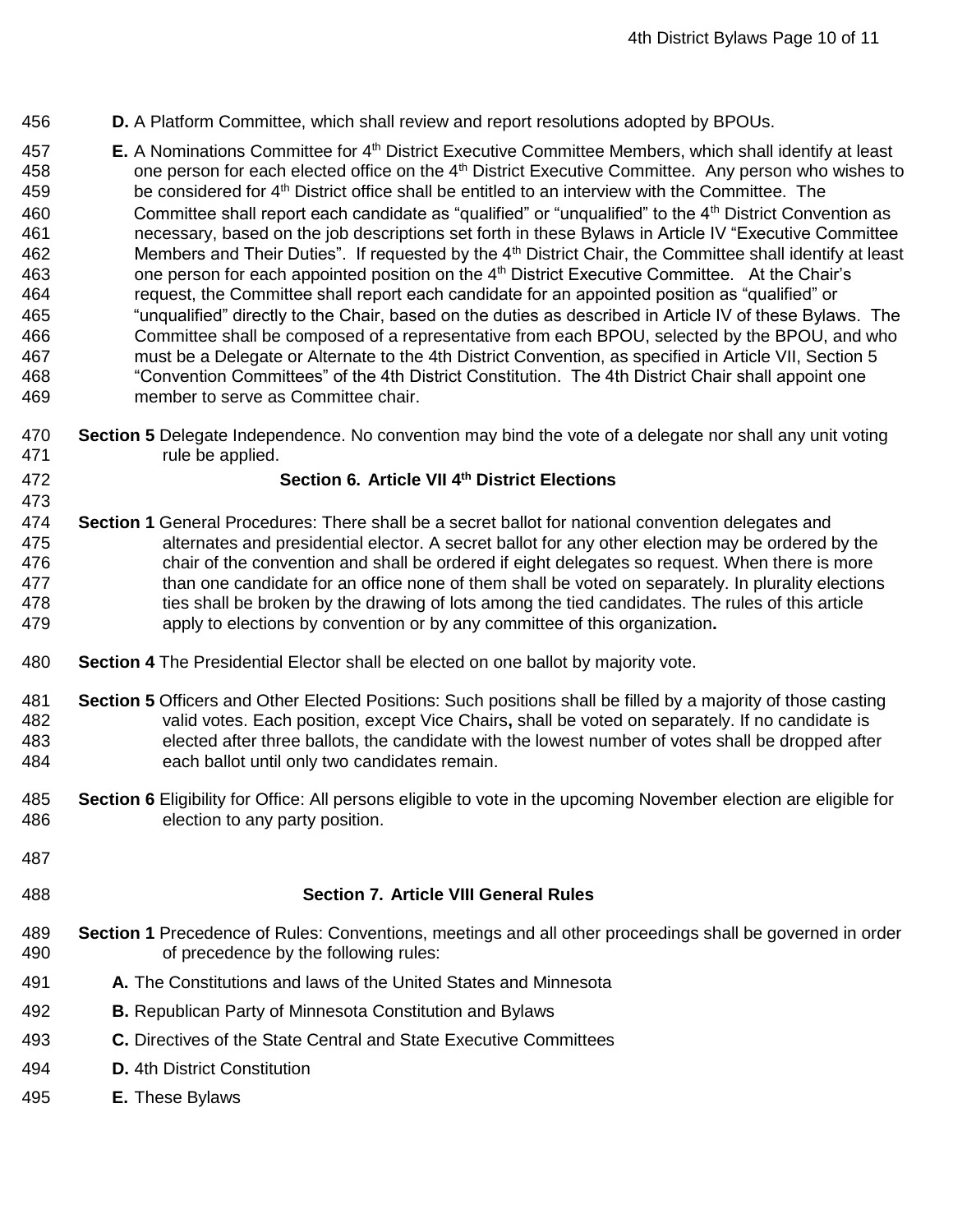- **D.** A Platform Committee, which shall review and report resolutions adopted by BPOUs.
- **457 E.** A Nominations Committee for 4<sup>th</sup> District Executive Committee Members, which shall identify at least 458 one person for each elected office on the 4<sup>th</sup> District Executive Committee. Any person who wishes to 459 be considered for 4<sup>th</sup> District office shall be entitled to an interview with the Committee. The 460 Committee shall report each candidate as "qualified" or "unqualified" to the  $4<sup>th</sup>$  District Convention as necessary, based on the job descriptions set forth in these Bylaws in Article IV "Executive Committee 462 Members and Their Duties". If requested by the 4<sup>th</sup> District Chair, the Committee shall identify at least 463 one person for each appointed position on the 4<sup>th</sup> District Executive Committee. At the Chair's request, the Committee shall report each candidate for an appointed position as "qualified" or "unqualified" directly to the Chair, based on the duties as described in Article IV of these Bylaws. The Committee shall be composed of a representative from each BPOU, selected by the BPOU, and who must be a Delegate or Alternate to the 4th District Convention, as specified in Article VII, Section 5 "Convention Committees" of the 4th District Constitution. The 4th District Chair shall appoint one member to serve as Committee chair.
- **Section 5** Delegate Independence. No convention may bind the vote of a delegate nor shall any unit voting 471 rule be applied.
- 

## **Section 6. Article VII 4<sup>th</sup> District Elections**

- **Section 1** General Procedures: There shall be a secret ballot for national convention delegates and alternates and presidential elector. A secret ballot for any other election may be ordered by the chair of the convention and shall be ordered if eight delegates so request. When there is more than one candidate for an office none of them shall be voted on separately. In plurality elections ties shall be broken by the drawing of lots among the tied candidates. The rules of this article apply to elections by convention or by any committee of this organization**.**
- **Section 4** The Presidential Elector shall be elected on one ballot by majority vote.
- **Section 5** Officers and Other Elected Positions: Such positions shall be filled by a majority of those casting valid votes. Each position, except Vice Chairs**,** shall be voted on separately. If no candidate is elected after three ballots, the candidate with the lowest number of votes shall be dropped after each ballot until only two candidates remain.
- **Section 6** Eligibility for Office: All persons eligible to vote in the upcoming November election are eligible for election to any party position.
- 

#### **Section 7. Article VIII General Rules**

- **Section 1** Precedence of Rules: Conventions, meetings and all other proceedings shall be governed in order of precedence by the following rules:
- **A.** The Constitutions and laws of the United States and Minnesota
- **B.** Republican Party of Minnesota Constitution and Bylaws
- **C.** Directives of the State Central and State Executive Committees
- **D.** 4th District Constitution
- **E.** These Bylaws